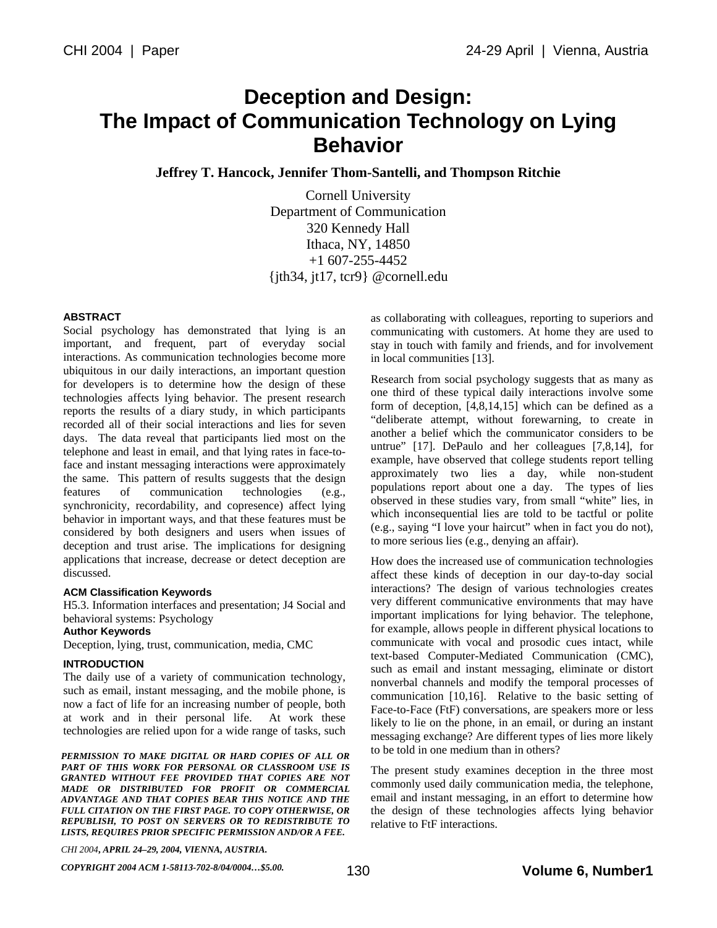# **Deception and Design: The Impact of Communication Technology on Lying Behavior**

**Jeffrey T. Hancock, Jennifer Thom-Santelli, and Thompson Ritchie** 

Cornell University Department of Communication 320 Kennedy Hall Ithaca, NY, 14850 +1 607-255-4452 {jth34, jt17, tcr9} @cornell.edu

## **ABSTRACT**

Social psychology has demonstrated that lying is an important, and frequent, part of everyday social interactions. As communication technologies become more ubiquitous in our daily interactions, an important question for developers is to determine how the design of these technologies affects lying behavior. The present research reports the results of a diary study, in which participants recorded all of their social interactions and lies for seven days. The data reveal that participants lied most on the telephone and least in email, and that lying rates in face-toface and instant messaging interactions were approximately the same. This pattern of results suggests that the design features of communication technologies (e.g., synchronicity, recordability, and copresence) affect lying behavior in important ways, and that these features must be considered by both designers and users when issues of deception and trust arise. The implications for designing applications that increase, decrease or detect deception are discussed.

#### **ACM Classification Keywords**

H5.3. Information interfaces and presentation; J4 Social and behavioral systems: Psychology

## **Author Keywords**

Deception, lying, trust, communication, media, CMC

## **INTRODUCTION**

The daily use of a variety of communication technology, such as email, instant messaging, and the mobile phone, is now a fact of life for an increasing number of people, both at work and in their personal life. At work these technologies are relied upon for a wide range of tasks, such

*PERMISSION TO MAKE DIGITAL OR HARD COPIES OF ALL OR*  PART OF THIS WORK FOR PERSONAL OR CLASSROOM USE IS *GRANTED WITHOUT FEE PROVIDED THAT COPIES ARE NOT MADE OR DISTRIBUTED FOR PROFIT OR COMMERCIAL ADVANTAGE AND THAT COPIES BEAR THIS NOTICE AND THE FULL CITATION ON THE FIRST PAGE. TO COPY OTHERWISE, OR REPUBLISH, TO POST ON SERVERS OR TO REDISTRIBUTE TO LISTS, REQUIRES PRIOR SPECIFIC PERMISSION AND/OR A FEE.* 

as collaborating with colleagues, reporting to superiors and communicating with customers. At home they are used to stay in touch with family and friends, and for involvement in local communities [13].

Research from social psychology suggests that as many as one third of these typical daily interactions involve some form of deception, [4,8,14,15] which can be defined as a "deliberate attempt, without forewarning, to create in another a belief which the communicator considers to be untrue" [17]. DePaulo and her colleagues [7,8,14], for example, have observed that college students report telling approximately two lies a day, while non-student populations report about one a day. The types of lies observed in these studies vary, from small "white" lies, in which inconsequential lies are told to be tactful or polite (e.g., saying "I love your haircut" when in fact you do not), to more serious lies (e.g., denying an affair).

How does the increased use of communication technologies affect these kinds of deception in our day-to-day social interactions? The design of various technologies creates very different communicative environments that may have important implications for lying behavior. The telephone, for example, allows people in different physical locations to communicate with vocal and prosodic cues intact, while text-based Computer-Mediated Communication (CMC), such as email and instant messaging, eliminate or distort nonverbal channels and modify the temporal processes of communication [10,16]. Relative to the basic setting of Face-to-Face (FtF) conversations, are speakers more or less likely to lie on the phone, in an email, or during an instant messaging exchange? Are different types of lies more likely to be told in one medium than in others?

The present study examines deception in the three most commonly used daily communication media, the telephone, email and instant messaging, in an effort to determine how the design of these technologies affects lying behavior relative to FtF interactions.

*CHI 2004***,** *APRIL 24–29, 2004, VIENNA, AUSTRIA.*

*COPYRIGHT 2004 ACM 1-58113-702-8/04/0004…\$5.00.*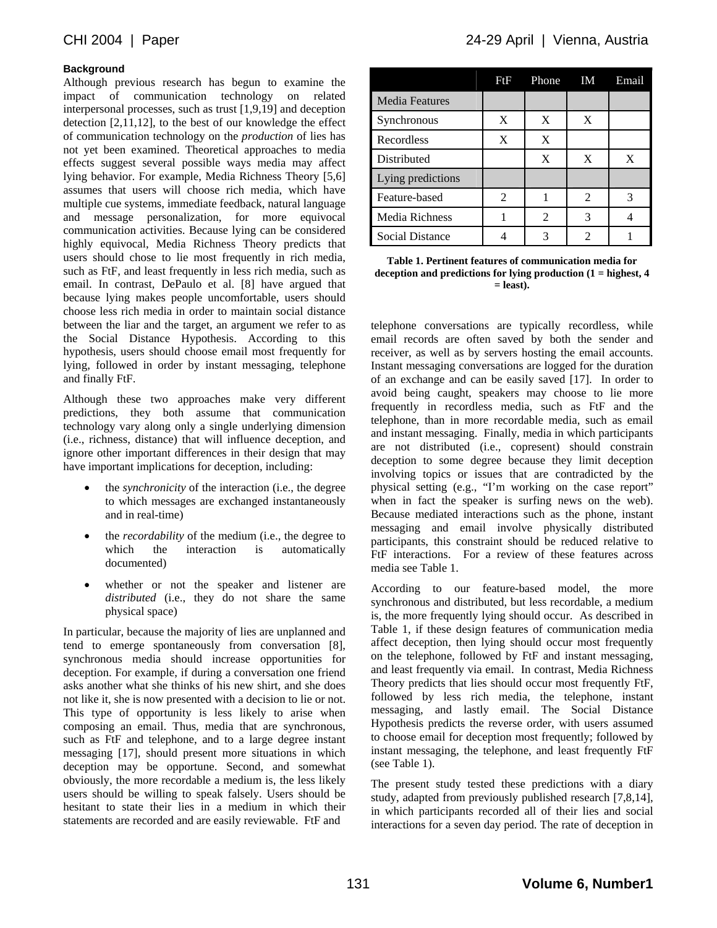## **Background**

Although previous research has begun to examine the impact of communication technology on related interpersonal processes, such as trust [1,9,19] and deception detection [2,11,12], to the best of our knowledge the effect of communication technology on the *production* of lies has not yet been examined. Theoretical approaches to media effects suggest several possible ways media may affect lying behavior. For example, Media Richness Theory [5,6] assumes that users will choose rich media, which have multiple cue systems, immediate feedback, natural language and message personalization, for more equivocal communication activities. Because lying can be considered highly equivocal, Media Richness Theory predicts that users should chose to lie most frequently in rich media, such as FtF, and least frequently in less rich media, such as email. In contrast, DePaulo et al. [8] have argued that because lying makes people uncomfortable, users should choose less rich media in order to maintain social distance between the liar and the target, an argument we refer to as the Social Distance Hypothesis. According to this hypothesis, users should choose email most frequently for lying, followed in order by instant messaging, telephone and finally FtF.

Although these two approaches make very different predictions, they both assume that communication technology vary along only a single underlying dimension (i.e., richness, distance) that will influence deception, and ignore other important differences in their design that may have important implications for deception, including:

- the *synchronicity* of the interaction (i.e., the degree to which messages are exchanged instantaneously and in real-time)
- the *recordability* of the medium (i.e., the degree to which the interaction is automatically documented)
- whether or not the speaker and listener are *distributed* (i.e., they do not share the same physical space)

In particular, because the majority of lies are unplanned and tend to emerge spontaneously from conversation [8], synchronous media should increase opportunities for deception. For example, if during a conversation one friend asks another what she thinks of his new shirt, and she does not like it, she is now presented with a decision to lie or not. This type of opportunity is less likely to arise when composing an email. Thus, media that are synchronous, such as FtF and telephone, and to a large degree instant messaging [17], should present more situations in which deception may be opportune. Second, and somewhat obviously, the more recordable a medium is, the less likely users should be willing to speak falsely. Users should be hesitant to state their lies in a medium in which their statements are recorded and are easily reviewable. FtF and

|                        | FtF           | Phone | IM | Email |
|------------------------|---------------|-------|----|-------|
| <b>Media Features</b>  |               |       |    |       |
| Synchronous            | X             | X     | X  |       |
| Recordless             | X             | X     |    |       |
| Distributed            |               | X     | X  | X     |
| Lying predictions      |               |       |    |       |
| Feature-based          | $\mathcal{L}$ |       | 2  | 3     |
| Media Richness         |               | 2     |    |       |
| <b>Social Distance</b> |               |       |    |       |

**Table 1. Pertinent features of communication media for deception and predictions for lying production (1 = highest, 4 = least).** 

telephone conversations are typically recordless, while email records are often saved by both the sender and receiver, as well as by servers hosting the email accounts. Instant messaging conversations are logged for the duration of an exchange and can be easily saved [17]. In order to avoid being caught, speakers may choose to lie more frequently in recordless media, such as FtF and the telephone, than in more recordable media, such as email and instant messaging. Finally, media in which participants are not distributed (i.e., copresent) should constrain deception to some degree because they limit deception involving topics or issues that are contradicted by the physical setting (e.g., "I'm working on the case report" when in fact the speaker is surfing news on the web). Because mediated interactions such as the phone, instant messaging and email involve physically distributed participants, this constraint should be reduced relative to FtF interactions. For a review of these features across media see Table 1.

According to our feature-based model, the more synchronous and distributed, but less recordable, a medium is, the more frequently lying should occur. As described in Table 1, if these design features of communication media affect deception, then lying should occur most frequently on the telephone, followed by FtF and instant messaging, and least frequently via email. In contrast, Media Richness Theory predicts that lies should occur most frequently FtF, followed by less rich media, the telephone, instant messaging, and lastly email. The Social Distance Hypothesis predicts the reverse order, with users assumed to choose email for deception most frequently; followed by instant messaging, the telephone, and least frequently FtF (see Table 1).

The present study tested these predictions with a diary study, adapted from previously published research [7,8,14], in which participants recorded all of their lies and social interactions for a seven day period. The rate of deception in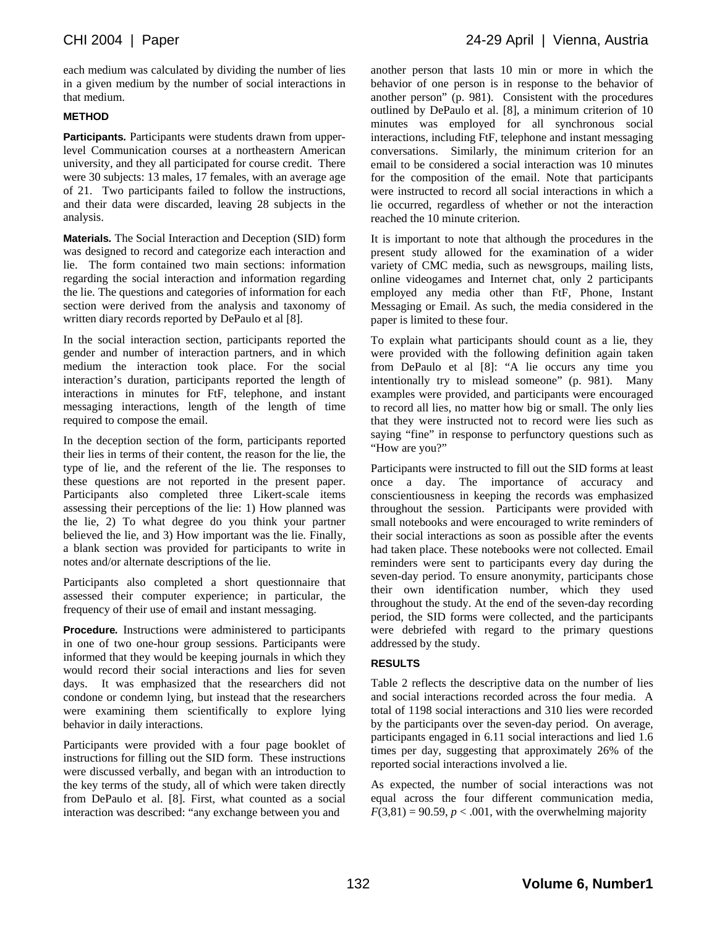## **METHOD**

**Participants***.* Participants were students drawn from upperlevel Communication courses at a northeastern American university, and they all participated for course credit. There were 30 subjects: 13 males, 17 females, with an average age of 21. Two participants failed to follow the instructions, and their data were discarded, leaving 28 subjects in the analysis.

**Materials***.* The Social Interaction and Deception (SID) form was designed to record and categorize each interaction and lie. The form contained two main sections: information regarding the social interaction and information regarding the lie. The questions and categories of information for each section were derived from the analysis and taxonomy of written diary records reported by DePaulo et al [8].

In the social interaction section, participants reported the gender and number of interaction partners, and in which medium the interaction took place. For the social interaction's duration, participants reported the length of interactions in minutes for FtF, telephone, and instant messaging interactions, length of the length of time required to compose the email.

In the deception section of the form, participants reported their lies in terms of their content, the reason for the lie, the type of lie, and the referent of the lie. The responses to these questions are not reported in the present paper. Participants also completed three Likert-scale items assessing their perceptions of the lie: 1) How planned was the lie, 2) To what degree do you think your partner believed the lie, and 3) How important was the lie. Finally, a blank section was provided for participants to write in notes and/or alternate descriptions of the lie.

Participants also completed a short questionnaire that assessed their computer experience; in particular, the frequency of their use of email and instant messaging.

**Procedure***.* Instructions were administered to participants in one of two one-hour group sessions. Participants were informed that they would be keeping journals in which they would record their social interactions and lies for seven days. It was emphasized that the researchers did not condone or condemn lying, but instead that the researchers were examining them scientifically to explore lying behavior in daily interactions.

Participants were provided with a four page booklet of instructions for filling out the SID form. These instructions were discussed verbally, and began with an introduction to the key terms of the study, all of which were taken directly from DePaulo et al. [8]. First, what counted as a social interaction was described: "any exchange between you and

another person that lasts 10 min or more in which the behavior of one person is in response to the behavior of another person" (p. 981). Consistent with the procedures outlined by DePaulo et al. [8], a minimum criterion of 10 minutes was employed for all synchronous social interactions, including FtF, telephone and instant messaging conversations. Similarly, the minimum criterion for an email to be considered a social interaction was 10 minutes for the composition of the email. Note that participants were instructed to record all social interactions in which a lie occurred, regardless of whether or not the interaction reached the 10 minute criterion.

It is important to note that although the procedures in the present study allowed for the examination of a wider variety of CMC media, such as newsgroups, mailing lists, online videogames and Internet chat, only 2 participants employed any media other than FtF, Phone, Instant Messaging or Email. As such, the media considered in the paper is limited to these four.

To explain what participants should count as a lie, they were provided with the following definition again taken from DePaulo et al [8]: "A lie occurs any time you intentionally try to mislead someone" (p. 981). Many examples were provided, and participants were encouraged to record all lies, no matter how big or small. The only lies that they were instructed not to record were lies such as saying "fine" in response to perfunctory questions such as "How are you?"

Participants were instructed to fill out the SID forms at least once a day. The importance of accuracy and conscientiousness in keeping the records was emphasized throughout the session. Participants were provided with small notebooks and were encouraged to write reminders of their social interactions as soon as possible after the events had taken place. These notebooks were not collected. Email reminders were sent to participants every day during the seven-day period. To ensure anonymity, participants chose their own identification number, which they used throughout the study. At the end of the seven-day recording period, the SID forms were collected, and the participants were debriefed with regard to the primary questions addressed by the study.

## **RESULTS**

Table 2 reflects the descriptive data on the number of lies and social interactions recorded across the four media. A total of 1198 social interactions and 310 lies were recorded by the participants over the seven-day period. On average, participants engaged in 6.11 social interactions and lied 1.6 times per day, suggesting that approximately 26% of the reported social interactions involved a lie.

As expected, the number of social interactions was not equal across the four different communication media,  $F(3,81) = 90.59, p < .001$ , with the overwhelming majority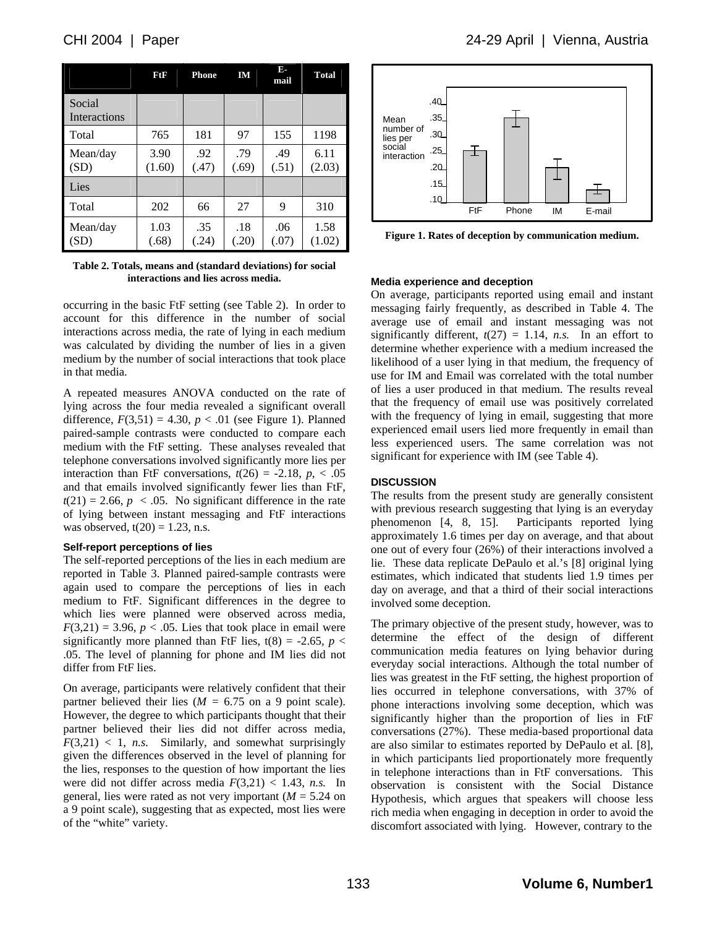|                               | FtF            | <b>Phone</b> | IМ           | $E-$<br>mail | <b>Total</b>   |
|-------------------------------|----------------|--------------|--------------|--------------|----------------|
| Social<br><b>Interactions</b> |                |              |              |              |                |
| Total                         | 765            | 181          | 97           | 155          | 1198           |
| Mean/day<br>(SD)              | 3.90<br>(1.60) | .92<br>(.47) | .79<br>(.69) | .49<br>(.51) | 6.11<br>(2.03) |
| Lies                          |                |              |              |              |                |
| Total                         | 202            | 66           | 27           | 9            | 310            |
| Mean/day<br>(SD)              | 1.03<br>(.68)  | .35<br>(24)  | .18<br>(.20) | .06<br>(.07) | 1.58<br>(1.02) |

**Table 2. Totals, means and (standard deviations) for social interactions and lies across media.** 

occurring in the basic FtF setting (see Table 2). In order to account for this difference in the number of social interactions across media, the rate of lying in each medium was calculated by dividing the number of lies in a given medium by the number of social interactions that took place in that media.

A repeated measures ANOVA conducted on the rate of lying across the four media revealed a significant overall difference,  $F(3,51) = 4.30, p < .01$  (see Figure 1). Planned paired-sample contrasts were conducted to compare each medium with the FtF setting. These analyses revealed that telephone conversations involved significantly more lies per interaction than FtF conversations,  $t(26) = -2.18$ ,  $p_s < .05$ and that emails involved significantly fewer lies than FtF,  $t(21) = 2.66$ ,  $p < .05$ . No significant difference in the rate of lying between instant messaging and FtF interactions was observed,  $t(20) = 1.23$ , n.s.

#### **Self-report perceptions of lies**

The self-reported perceptions of the lies in each medium are reported in Table 3. Planned paired-sample contrasts were again used to compare the perceptions of lies in each medium to FtF. Significant differences in the degree to which lies were planned were observed across media,  $F(3,21) = 3.96$ ,  $p < .05$ . Lies that took place in email were significantly more planned than FtF lies,  $t(8) = -2.65$ ,  $p <$ .05. The level of planning for phone and IM lies did not differ from FtF lies.

On average, participants were relatively confident that their partner believed their lies (*M =* 6.75 on a 9 point scale). However, the degree to which participants thought that their partner believed their lies did not differ across media,  $F(3,21) < 1$ , *n.s.* Similarly, and somewhat surprisingly given the differences observed in the level of planning for the lies, responses to the question of how important the lies were did not differ across media *F*(3,21) < 1.43, *n.s.* In general, lies were rated as not very important  $(M = 5.24$  on a 9 point scale), suggesting that as expected, most lies were of the "white" variety.



**Figure 1. Rates of deception by communication medium.** 

#### **Media experience and deception**

On average, participants reported using email and instant messaging fairly frequently, as described in Table 4. The average use of email and instant messaging was not significantly different,  $t(27) = 1.14$ , *n.s.* In an effort to determine whether experience with a medium increased the likelihood of a user lying in that medium, the frequency of use for IM and Email was correlated with the total number of lies a user produced in that medium. The results reveal that the frequency of email use was positively correlated with the frequency of lying in email, suggesting that more experienced email users lied more frequently in email than less experienced users. The same correlation was not significant for experience with IM (see Table 4).

#### **DISCUSSION**

The results from the present study are generally consistent with previous research suggesting that lying is an everyday phenomenon [4, 8, 15]. Participants reported lying approximately 1.6 times per day on average, and that about one out of every four (26%) of their interactions involved a lie. These data replicate DePaulo et al.'s [8] original lying estimates, which indicated that students lied 1.9 times per day on average, and that a third of their social interactions involved some deception.

The primary objective of the present study, however, was to determine the effect of the design of different communication media features on lying behavior during everyday social interactions. Although the total number of lies was greatest in the FtF setting, the highest proportion of lies occurred in telephone conversations, with 37% of phone interactions involving some deception, which was significantly higher than the proportion of lies in FtF conversations (27%). These media-based proportional data are also similar to estimates reported by DePaulo et al. [8], in which participants lied proportionately more frequently in telephone interactions than in FtF conversations. This observation is consistent with the Social Distance Hypothesis, which argues that speakers will choose less rich media when engaging in deception in order to avoid the discomfort associated with lying. However, contrary to the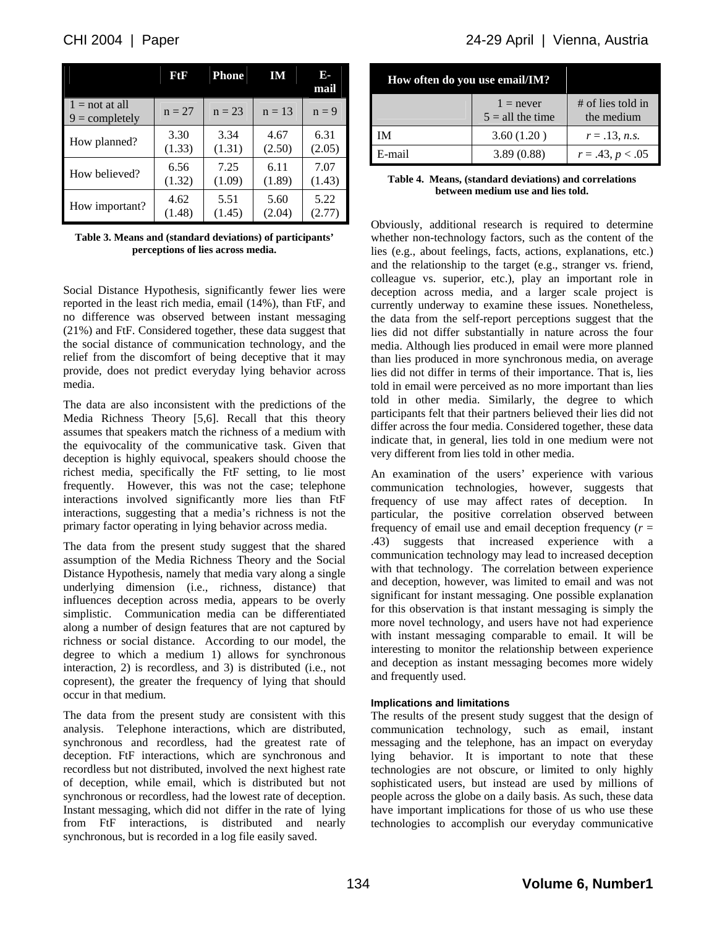|                                      | rar      | <b>Phone</b> | IM       | E-<br>mail |
|--------------------------------------|----------|--------------|----------|------------|
| $1 = not at all$<br>$9 =$ completely | $n = 27$ | $n = 23$     | $n = 13$ | $n = 9$    |
| How planned?                         | 3.30     | 3.34         | 4.67     | 6.31       |
|                                      | (1.33)   | (1.31)       | (2.50)   | (2.05)     |
| How believed?                        | 6.56     | 7.25         | 6.11     | 7.07       |
|                                      | (1.32)   | (1.09)       | (1.89)   | (1.43)     |
| How important?                       | 4.62     | 5.51         | 5.60     | 5.22       |
|                                      | (1.48)   | (1.45)       | (2.04)   | (2.77)     |

**Table 3. Means and (standard deviations) of participants' perceptions of lies across media.** 

Social Distance Hypothesis, significantly fewer lies were reported in the least rich media, email (14%), than FtF, and no difference was observed between instant messaging (21%) and FtF. Considered together, these data suggest that the social distance of communication technology, and the relief from the discomfort of being deceptive that it may provide, does not predict everyday lying behavior across media.

The data are also inconsistent with the predictions of the Media Richness Theory [5,6]. Recall that this theory assumes that speakers match the richness of a medium with the equivocality of the communicative task. Given that deception is highly equivocal, speakers should choose the richest media, specifically the FtF setting, to lie most frequently. However, this was not the case; telephone interactions involved significantly more lies than FtF interactions, suggesting that a media's richness is not the primary factor operating in lying behavior across media.

The data from the present study suggest that the shared assumption of the Media Richness Theory and the Social Distance Hypothesis, namely that media vary along a single underlying dimension (i.e., richness, distance) that influences deception across media, appears to be overly simplistic. Communication media can be differentiated along a number of design features that are not captured by richness or social distance. According to our model, the degree to which a medium 1) allows for synchronous interaction, 2) is recordless, and 3) is distributed (i.e., not copresent), the greater the frequency of lying that should occur in that medium.

The data from the present study are consistent with this analysis. Telephone interactions, which are distributed, synchronous and recordless, had the greatest rate of deception. FtF interactions, which are synchronous and recordless but not distributed, involved the next highest rate of deception, while email, which is distributed but not synchronous or recordless, had the lowest rate of deception. Instant messaging, which did not differ in the rate of lying from FtF interactions, is distributed and nearly synchronous, but is recorded in a log file easily saved.

| How often do you use email/IM? |                                   |                                 |  |
|--------------------------------|-----------------------------------|---------------------------------|--|
|                                | $1 =$ never<br>$5 =$ all the time | # of lies told in<br>the medium |  |
| IΜ                             | 3.60(1.20)                        | $r = .13, n.s.$                 |  |
| E-mail                         | 3.89(0.88)                        | $r = .43, p < .05$              |  |

| Table 4. Means, (standard deviations) and correlations |
|--------------------------------------------------------|
| between medium use and lies told.                      |

Obviously, additional research is required to determine whether non-technology factors, such as the content of the lies (e.g., about feelings, facts, actions, explanations, etc.) and the relationship to the target (e.g., stranger vs. friend, colleague vs. superior, etc.), play an important role in deception across media, and a larger scale project is currently underway to examine these issues. Nonetheless, the data from the self-report perceptions suggest that the lies did not differ substantially in nature across the four media. Although lies produced in email were more planned than lies produced in more synchronous media, on average lies did not differ in terms of their importance. That is, lies told in email were perceived as no more important than lies told in other media. Similarly, the degree to which participants felt that their partners believed their lies did not differ across the four media. Considered together, these data indicate that, in general, lies told in one medium were not very different from lies told in other media.

An examination of the users' experience with various communication technologies, however, suggests that frequency of use may affect rates of deception. In particular, the positive correlation observed between frequency of email use and email deception frequency  $(r =$ .43) suggests that increased experience with a communication technology may lead to increased deception with that technology. The correlation between experience and deception, however, was limited to email and was not significant for instant messaging. One possible explanation for this observation is that instant messaging is simply the more novel technology, and users have not had experience with instant messaging comparable to email. It will be interesting to monitor the relationship between experience and deception as instant messaging becomes more widely and frequently used.

## **Implications and limitations**

The results of the present study suggest that the design of communication technology, such as email, instant messaging and the telephone, has an impact on everyday lying behavior. It is important to note that these technologies are not obscure, or limited to only highly sophisticated users, but instead are used by millions of people across the globe on a daily basis. As such, these data have important implications for those of us who use these technologies to accomplish our everyday communicative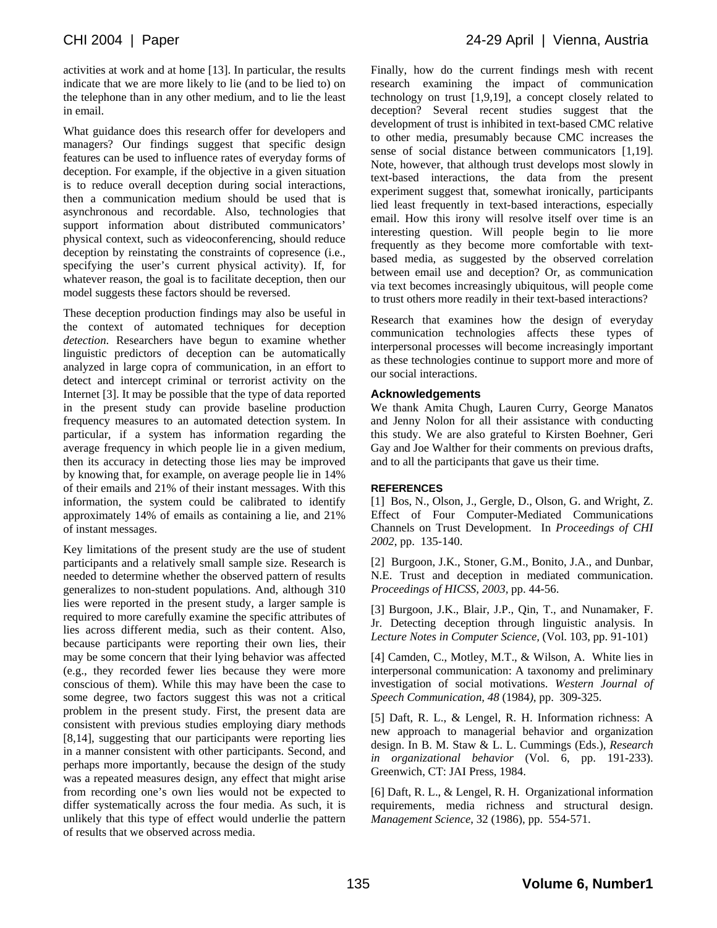activities at work and at home [13]. In particular, the results indicate that we are more likely to lie (and to be lied to) on the telephone than in any other medium, and to lie the least in email.

What guidance does this research offer for developers and managers? Our findings suggest that specific design features can be used to influence rates of everyday forms of deception. For example, if the objective in a given situation is to reduce overall deception during social interactions, then a communication medium should be used that is asynchronous and recordable. Also, technologies that support information about distributed communicators' physical context, such as videoconferencing, should reduce deception by reinstating the constraints of copresence (i.e., specifying the user's current physical activity). If, for whatever reason, the goal is to facilitate deception, then our model suggests these factors should be reversed.

These deception production findings may also be useful in the context of automated techniques for deception *detection*. Researchers have begun to examine whether linguistic predictors of deception can be automatically analyzed in large copra of communication, in an effort to detect and intercept criminal or terrorist activity on the Internet [3]. It may be possible that the type of data reported in the present study can provide baseline production frequency measures to an automated detection system. In particular, if a system has information regarding the average frequency in which people lie in a given medium, then its accuracy in detecting those lies may be improved by knowing that, for example, on average people lie in 14% of their emails and 21% of their instant messages. With this information, the system could be calibrated to identify approximately 14% of emails as containing a lie, and 21% of instant messages.

Key limitations of the present study are the use of student participants and a relatively small sample size. Research is needed to determine whether the observed pattern of results generalizes to non-student populations. And, although 310 lies were reported in the present study, a larger sample is required to more carefully examine the specific attributes of lies across different media, such as their content. Also, because participants were reporting their own lies, their may be some concern that their lying behavior was affected (e.g., they recorded fewer lies because they were more conscious of them). While this may have been the case to some degree, two factors suggest this was not a critical problem in the present study. First, the present data are consistent with previous studies employing diary methods [8,14], suggesting that our participants were reporting lies in a manner consistent with other participants. Second, and perhaps more importantly, because the design of the study was a repeated measures design, any effect that might arise from recording one's own lies would not be expected to differ systematically across the four media. As such, it is unlikely that this type of effect would underlie the pattern of results that we observed across media.

Finally, how do the current findings mesh with recent research examining the impact of communication technology on trust [1,9,19], a concept closely related to deception? Several recent studies suggest that the development of trust is inhibited in text-based CMC relative to other media, presumably because CMC increases the sense of social distance between communicators [1,19]. Note, however, that although trust develops most slowly in text-based interactions, the data from the present experiment suggest that, somewhat ironically, participants lied least frequently in text-based interactions, especially email. How this irony will resolve itself over time is an interesting question. Will people begin to lie more frequently as they become more comfortable with textbased media, as suggested by the observed correlation between email use and deception? Or, as communication via text becomes increasingly ubiquitous, will people come to trust others more readily in their text-based interactions?

Research that examines how the design of everyday communication technologies affects these types of interpersonal processes will become increasingly important as these technologies continue to support more and more of our social interactions.

## **Acknowledgements**

We thank Amita Chugh, Lauren Curry, George Manatos and Jenny Nolon for all their assistance with conducting this study. We are also grateful to Kirsten Boehner, Geri Gay and Joe Walther for their comments on previous drafts, and to all the participants that gave us their time.

#### **REFERENCES**

[1] Bos, N., Olson, J., Gergle, D., Olson, G. and Wright, Z. Effect of Four Computer-Mediated Communications Channels on Trust Development. In *Proceedings of CHI 2002*, pp. 135-140.

[2] Burgoon, J.K., Stoner, G.M., Bonito, J.A., and Dunbar, N.E. Trust and deception in mediated communication. *Proceedings of HICSS, 2003,* pp. 44-56.

[3] Burgoon, J.K., Blair, J.P., Qin, T., and Nunamaker, F. Jr. Detecting deception through linguistic analysis. In *Lecture Notes in Computer Science,* (Vol. 103, pp. 91-101)

[4] Camden, C., Motley, M.T., & Wilson, A. White lies in interpersonal communication: A taxonomy and preliminary investigation of social motivations. *Western Journal of Speech Communication, 48* (1984*)*, pp. 309-325.

[5] Daft, R. L., & Lengel, R. H. Information richness: A new approach to managerial behavior and organization design. In B. M. Staw & L. L. Cummings (Eds.), *Research in organizational behavior* (Vol. 6, pp. 191-233). Greenwich, CT: JAI Press, 1984.

[6] Daft, R. L., & Lengel, R. H. Organizational information requirements, media richness and structural design. *Management Science*, 32 (1986), pp. 554-571.